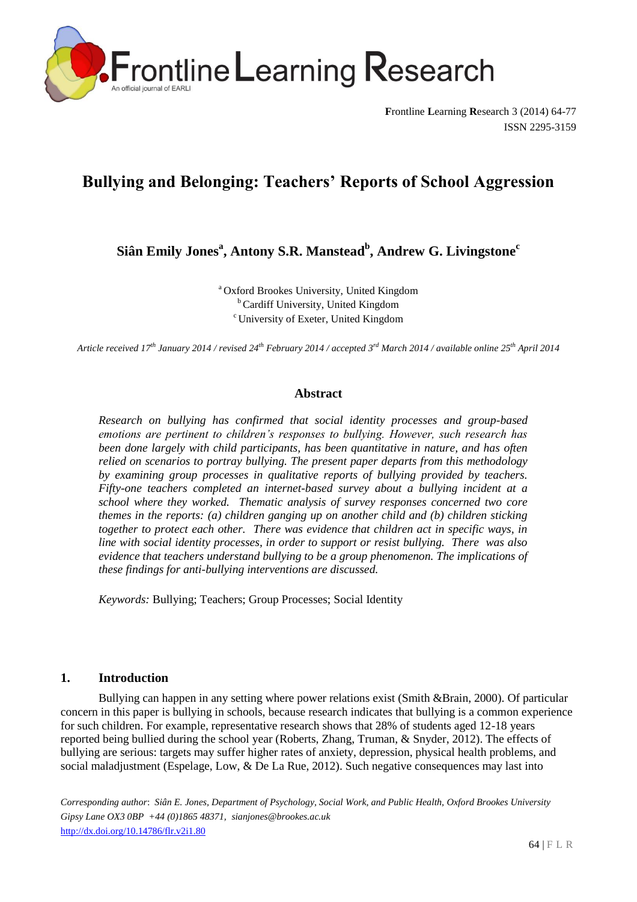

**F**rontline **L**earning **R**esearch 3 (2014) 64-77 ISSN 2295-3159

# **Bullying and Belonging: Teachers' Reports of School Aggression**

**Siân Emily Jones<sup>a</sup> , Antony S.R. Manstead<sup>b</sup> , Andrew G. Livingstone<sup>c</sup>**

<sup>a</sup> Oxford Brookes University, United Kingdom <sup>b</sup> Cardiff University, United Kingdom <sup>c</sup>University of Exeter, United Kingdom

*Article received 17th January 2014 / revised 24 th February 2014 / accepted 3 rd March 2014 / available online 25 th April 2014*

## **Abstract**

*Research on bullying has confirmed that social identity processes and group-based emotions are pertinent to children's responses to bullying. However, such research has been done largely with child participants, has been quantitative in nature, and has often relied on scenarios to portray bullying. The present paper departs from this methodology by examining group processes in qualitative reports of bullying provided by teachers. Fifty-one teachers completed an internet-based survey about a bullying incident at a school where they worked. Thematic analysis of survey responses concerned two core themes in the reports: (a) children ganging up on another child and (b) children sticking together to protect each other. There was evidence that children act in specific ways, in line with social identity processes, in order to support or resist bullying. There was also evidence that teachers understand bullying to be a group phenomenon. The implications of these findings for anti-bullying interventions are discussed.*

*Keywords:* Bullying; Teachers; Group Processes; Social Identity

# **1. Introduction**

Bullying can happen in any setting where power relations exist (Smith &Brain, 2000). Of particular concern in this paper is bullying in schools, because research indicates that bullying is a common experience for such children. For example, representative research shows that 28% of students aged 12-18 years reported being bullied during the school year (Roberts, Zhang, Truman, & Snyder, 2012). The effects of bullying are serious: targets may suffer higher rates of anxiety, depression, physical health problems, and social maladjustment (Espelage, Low, & De La Rue, 2012). Such negative consequences may last into

*Corresponding author*: *Siân E. Jones, Department of Psychology, Social Work, and Public Health, Oxford Brookes University Gipsy Lane OX3 0BP +44 (0)1865 48371, sianjones@brookes.ac.uk* http://dx.doi.org/10.14786/flr.v2i1.80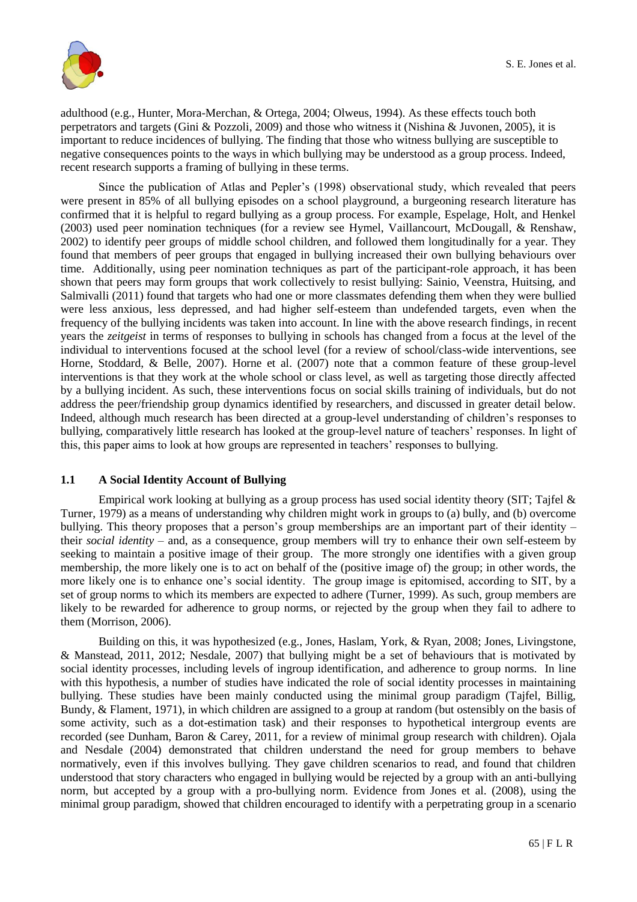

adulthood (e.g., Hunter, Mora-Merchan, & Ortega, 2004; Olweus, 1994). As these effects touch both perpetrators and targets (Gini & Pozzoli, 2009) and those who witness it (Nishina & Juvonen, 2005), it is important to reduce incidences of bullying. The finding that those who witness bullying are susceptible to negative consequences points to the ways in which bullying may be understood as a group process. Indeed, recent research supports a framing of bullying in these terms.

Since the publication of Atlas and Pepler"s (1998) observational study, which revealed that peers were present in 85% of all bullying episodes on a school playground, a burgeoning research literature has confirmed that it is helpful to regard bullying as a group process. For example, Espelage, Holt, and Henkel (2003) used peer nomination techniques (for a review see Hymel, Vaillancourt, McDougall, & Renshaw, 2002) to identify peer groups of middle school children, and followed them longitudinally for a year. They found that members of peer groups that engaged in bullying increased their own bullying behaviours over time. Additionally, using peer nomination techniques as part of the participant-role approach, it has been shown that peers may form groups that work collectively to resist bullying: Sainio, Veenstra, Huitsing, and Salmivalli (2011) found that targets who had one or more classmates defending them when they were bullied were less anxious, less depressed, and had higher self-esteem than undefended targets, even when the frequency of the bullying incidents was taken into account. In line with the above research findings, in recent years the *zeitgeist* in terms of responses to bullying in schools has changed from a focus at the level of the individual to interventions focused at the school level (for a review of school/class-wide interventions, see Horne, Stoddard, & Belle, 2007). Horne et al. (2007) note that a common feature of these group-level interventions is that they work at the whole school or class level, as well as targeting those directly affected by a bullying incident. As such, these interventions focus on social skills training of individuals, but do not address the peer/friendship group dynamics identified by researchers, and discussed in greater detail below. Indeed, although much research has been directed at a group-level understanding of children"s responses to bullying, comparatively little research has looked at the group-level nature of teachers" responses. In light of this, this paper aims to look at how groups are represented in teachers" responses to bullying.

# **1.1 A Social Identity Account of Bullying**

Empirical work looking at bullying as a group process has used social identity theory (SIT; Tajfel & Turner, 1979) as a means of understanding why children might work in groups to (a) bully, and (b) overcome bullying. This theory proposes that a person's group memberships are an important part of their identity their *social identity –* and, as a consequence, group members will try to enhance their own self-esteem by seeking to maintain a positive image of their group. The more strongly one identifies with a given group membership, the more likely one is to act on behalf of the (positive image of) the group; in other words, the more likely one is to enhance one"s social identity. The group image is epitomised, according to SIT, by a set of group norms to which its members are expected to adhere (Turner, 1999). As such, group members are likely to be rewarded for adherence to group norms, or rejected by the group when they fail to adhere to them (Morrison, 2006).

Building on this, it was hypothesized (e.g., Jones, Haslam, York, & Ryan, 2008; Jones, Livingstone, & Manstead, 2011, 2012; Nesdale, 2007) that bullying might be a set of behaviours that is motivated by social identity processes, including levels of ingroup identification, and adherence to group norms. In line with this hypothesis, a number of studies have indicated the role of social identity processes in maintaining bullying. These studies have been mainly conducted using the minimal group paradigm (Tajfel, Billig, Bundy, & Flament, 1971), in which children are assigned to a group at random (but ostensibly on the basis of some activity, such as a dot-estimation task) and their responses to hypothetical intergroup events are recorded (see Dunham, Baron & Carey, 2011, for a review of minimal group research with children). Ojala and Nesdale (2004) demonstrated that children understand the need for group members to behave normatively, even if this involves bullying. They gave children scenarios to read, and found that children understood that story characters who engaged in bullying would be rejected by a group with an anti-bullying norm, but accepted by a group with a pro-bullying norm. Evidence from Jones et al. (2008), using the minimal group paradigm, showed that children encouraged to identify with a perpetrating group in a scenario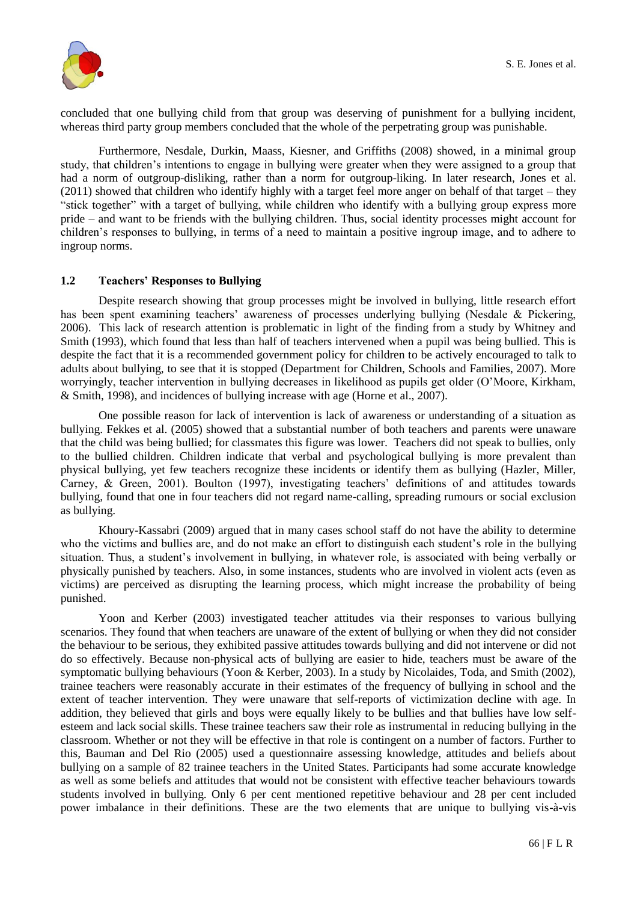

concluded that one bullying child from that group was deserving of punishment for a bullying incident, whereas third party group members concluded that the whole of the perpetrating group was punishable.

Furthermore, Nesdale, Durkin, Maass, Kiesner, and Griffiths (2008) showed, in a minimal group study, that children"s intentions to engage in bullying were greater when they were assigned to a group that had a norm of outgroup-disliking, rather than a norm for outgroup-liking. In later research, Jones et al. (2011) showed that children who identify highly with a target feel more anger on behalf of that target – they "stick together" with a target of bullying, while children who identify with a bullying group express more pride – and want to be friends with the bullying children. Thus, social identity processes might account for children"s responses to bullying, in terms of a need to maintain a positive ingroup image, and to adhere to ingroup norms.

# **1.2 Teachers' Responses to Bullying**

Despite research showing that group processes might be involved in bullying, little research effort has been spent examining teachers' awareness of processes underlying bullying (Nesdale & Pickering, 2006). This lack of research attention is problematic in light of the finding from a study by Whitney and Smith (1993), which found that less than half of teachers intervened when a pupil was being bullied. This is despite the fact that it is a recommended government policy for children to be actively encouraged to talk to adults about bullying, to see that it is stopped (Department for Children, Schools and Families, 2007). More worryingly, teacher intervention in bullying decreases in likelihood as pupils get older (O"Moore, Kirkham, & Smith, 1998), and incidences of bullying increase with age (Horne et al., 2007).

One possible reason for lack of intervention is lack of awareness or understanding of a situation as bullying. Fekkes et al. (2005) showed that a substantial number of both teachers and parents were unaware that the child was being bullied; for classmates this figure was lower. Teachers did not speak to bullies, only to the bullied children. Children indicate that verbal and psychological bullying is more prevalent than physical bullying, yet few teachers recognize these incidents or identify them as bullying (Hazler, Miller, Carney, & Green, 2001). Boulton (1997), investigating teachers" definitions of and attitudes towards bullying, found that one in four teachers did not regard name-calling, spreading rumours or social exclusion as bullying.

Khoury-Kassabri (2009) argued that in many cases school staff do not have the ability to determine who the victims and bullies are, and do not make an effort to distinguish each student's role in the bullying situation. Thus, a student"s involvement in bullying, in whatever role, is associated with being verbally or physically punished by teachers. Also, in some instances, students who are involved in violent acts (even as victims) are perceived as disrupting the learning process, which might increase the probability of being punished.

Yoon and Kerber (2003) investigated teacher attitudes via their responses to various bullying scenarios. They found that when teachers are unaware of the extent of bullying or when they did not consider the behaviour to be serious, they exhibited passive attitudes towards bullying and did not intervene or did not do so effectively. Because non-physical acts of bullying are easier to hide, teachers must be aware of the symptomatic bullying behaviours (Yoon & Kerber, 2003). In a study by Nicolaides, Toda, and Smith (2002), trainee teachers were reasonably accurate in their estimates of the frequency of bullying in school and the extent of teacher intervention. They were unaware that self-reports of victimization decline with age. In addition, they believed that girls and boys were equally likely to be bullies and that bullies have low selfesteem and lack social skills. These trainee teachers saw their role as instrumental in reducing bullying in the classroom. Whether or not they will be effective in that role is contingent on a number of factors. Further to this, Bauman and Del Rio (2005) used a questionnaire assessing knowledge, attitudes and beliefs about bullying on a sample of 82 trainee teachers in the United States. Participants had some accurate knowledge as well as some beliefs and attitudes that would not be consistent with effective teacher behaviours towards students involved in bullying. Only 6 per cent mentioned repetitive behaviour and 28 per cent included power imbalance in their definitions. These are the two elements that are unique to bullying vis-à-vis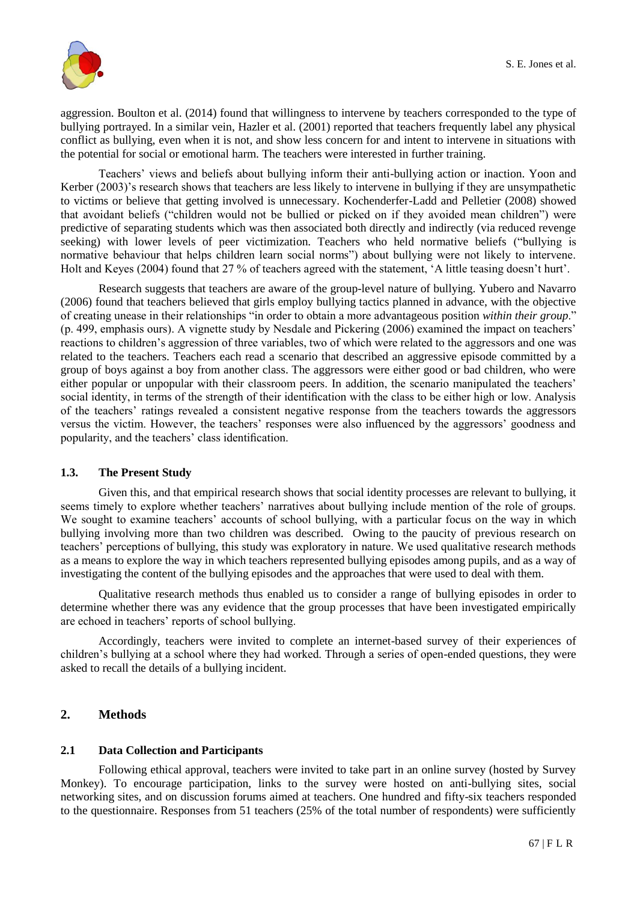

aggression. Boulton et al. (2014) found that willingness to intervene by teachers corresponded to the type of bullying portrayed. In a similar vein, Hazler et al. (2001) reported that teachers frequently label any physical conflict as bullying, even when it is not, and show less concern for and intent to intervene in situations with the potential for social or emotional harm. The teachers were interested in further training.

Teachers" views and beliefs about bullying inform their anti-bullying action or inaction. Yoon and Kerber (2003)'s research shows that teachers are less likely to intervene in bullying if they are unsympathetic to victims or believe that getting involved is unnecessary. Kochenderfer-Ladd and Pelletier (2008) showed that avoidant beliefs ("children would not be bullied or picked on if they avoided mean children") were predictive of separating students which was then associated both directly and indirectly (via reduced revenge seeking) with lower levels of peer victimization. Teachers who held normative beliefs ("bullying is normative behaviour that helps children learn social norms") about bullying were not likely to intervene. Holt and Keyes (2004) found that 27 % of teachers agreed with the statement, "A little teasing doesn"t hurt".

Research suggests that teachers are aware of the group-level nature of bullying. Yubero and Navarro (2006) found that teachers believed that girls employ bullying tactics planned in advance, with the objective of creating unease in their relationships "in order to obtain a more advantageous position *within their group*." (p. 499, emphasis ours). A vignette study by Nesdale and Pickering (2006) examined the impact on teachers" reactions to children"s aggression of three variables, two of which were related to the aggressors and one was related to the teachers. Teachers each read a scenario that described an aggressive episode committed by a group of boys against a boy from another class. The aggressors were either good or bad children, who were either popular or unpopular with their classroom peers. In addition, the scenario manipulated the teachers' social identity, in terms of the strength of their identification with the class to be either high or low. Analysis of the teachers" ratings revealed a consistent negative response from the teachers towards the aggressors versus the victim. However, the teachers" responses were also influenced by the aggressors" goodness and popularity, and the teachers" class identification.

## **1.3. The Present Study**

Given this, and that empirical research shows that social identity processes are relevant to bullying, it seems timely to explore whether teachers' narratives about bullying include mention of the role of groups. We sought to examine teachers' accounts of school bullying, with a particular focus on the way in which bullying involving more than two children was described. Owing to the paucity of previous research on teachers" perceptions of bullying, this study was exploratory in nature. We used qualitative research methods as a means to explore the way in which teachers represented bullying episodes among pupils, and as a way of investigating the content of the bullying episodes and the approaches that were used to deal with them.

Qualitative research methods thus enabled us to consider a range of bullying episodes in order to determine whether there was any evidence that the group processes that have been investigated empirically are echoed in teachers' reports of school bullying.

Accordingly, teachers were invited to complete an internet-based survey of their experiences of children"s bullying at a school where they had worked. Through a series of open-ended questions, they were asked to recall the details of a bullying incident.

# **2. Methods**

## **2.1 Data Collection and Participants**

Following ethical approval, teachers were invited to take part in an online survey (hosted by Survey Monkey). To encourage participation, links to the survey were hosted on anti-bullying sites, social networking sites, and on discussion forums aimed at teachers. One hundred and fifty-six teachers responded to the questionnaire. Responses from 51 teachers (25% of the total number of respondents) were sufficiently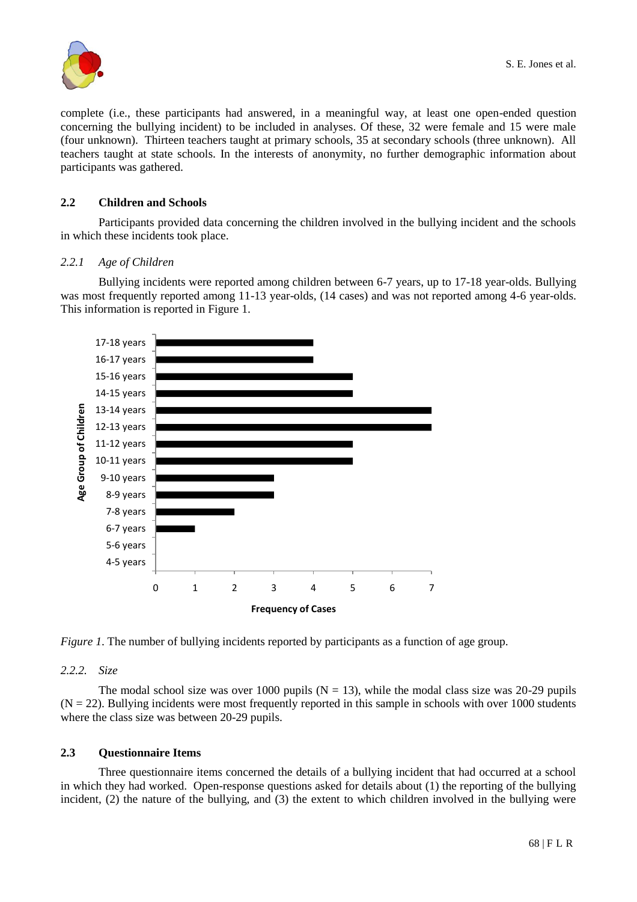

complete (i.e., these participants had answered, in a meaningful way, at least one open-ended question concerning the bullying incident) to be included in analyses. Of these, 32 were female and 15 were male (four unknown). Thirteen teachers taught at primary schools, 35 at secondary schools (three unknown). All teachers taught at state schools. In the interests of anonymity, no further demographic information about participants was gathered.

# **2.2 Children and Schools**

Participants provided data concerning the children involved in the bullying incident and the schools in which these incidents took place.

## *2.2.1 Age of Children*

Bullying incidents were reported among children between 6-7 years, up to 17-18 year-olds. Bullying was most frequently reported among 11-13 year-olds, (14 cases) and was not reported among 4-6 year-olds. This information is reported in Figure 1.



*Figure 1*. The number of bullying incidents reported by participants as a function of age group.

## *2.2.2. Size*

The modal school size was over 1000 pupils ( $N = 13$ ), while the modal class size was 20-29 pupils  $(N = 22)$ . Bullying incidents were most frequently reported in this sample in schools with over 1000 students where the class size was between 20-29 pupils.

## **2.3 Questionnaire Items**

Three questionnaire items concerned the details of a bullying incident that had occurred at a school in which they had worked. Open-response questions asked for details about (1) the reporting of the bullying incident, (2) the nature of the bullying, and (3) the extent to which children involved in the bullying were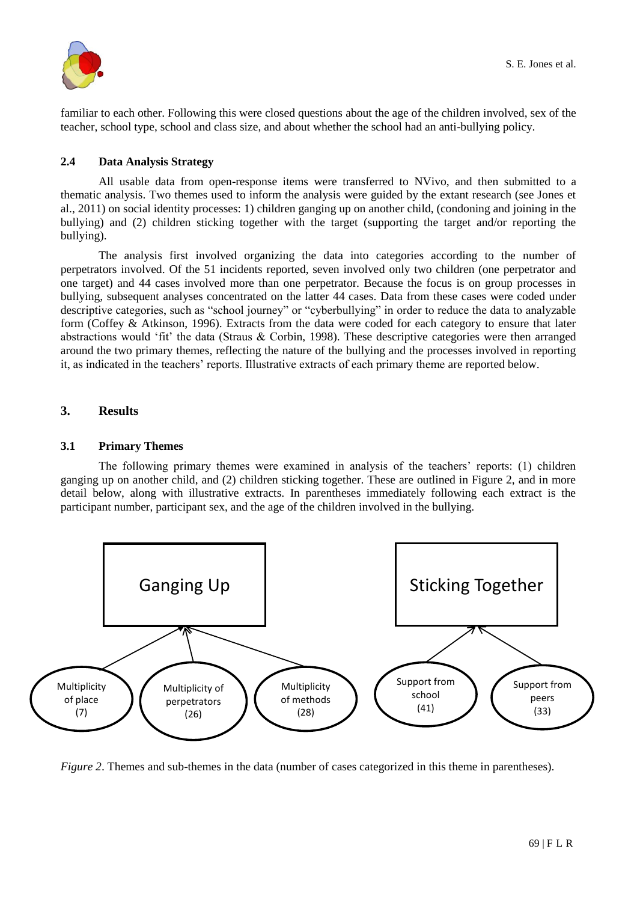

familiar to each other. Following this were closed questions about the age of the children involved, sex of the teacher, school type, school and class size, and about whether the school had an anti-bullying policy.

## **2.4 Data Analysis Strategy**

All usable data from open-response items were transferred to NVivo, and then submitted to a thematic analysis. Two themes used to inform the analysis were guided by the extant research (see Jones et al., 2011) on social identity processes: 1) children ganging up on another child, (condoning and joining in the bullying) and (2) children sticking together with the target (supporting the target and/or reporting the bullying).

The analysis first involved organizing the data into categories according to the number of perpetrators involved. Of the 51 incidents reported, seven involved only two children (one perpetrator and one target) and 44 cases involved more than one perpetrator. Because the focus is on group processes in bullying, subsequent analyses concentrated on the latter 44 cases. Data from these cases were coded under descriptive categories, such as "school journey" or "cyberbullying" in order to reduce the data to analyzable form (Coffey & Atkinson, 1996). Extracts from the data were coded for each category to ensure that later abstractions would "fit" the data (Straus & Corbin, 1998). These descriptive categories were then arranged around the two primary themes, reflecting the nature of the bullying and the processes involved in reporting it, as indicated in the teachers" reports. Illustrative extracts of each primary theme are reported below.

# **3. Results**

# **3.1 Primary Themes**

The following primary themes were examined in analysis of the teachers' reports: (1) children ganging up on another child, and (2) children sticking together. These are outlined in Figure 2, and in more detail below, along with illustrative extracts. In parentheses immediately following each extract is the participant number, participant sex, and the age of the children involved in the bullying.



*Figure 2*. Themes and sub-themes in the data (number of cases categorized in this theme in parentheses).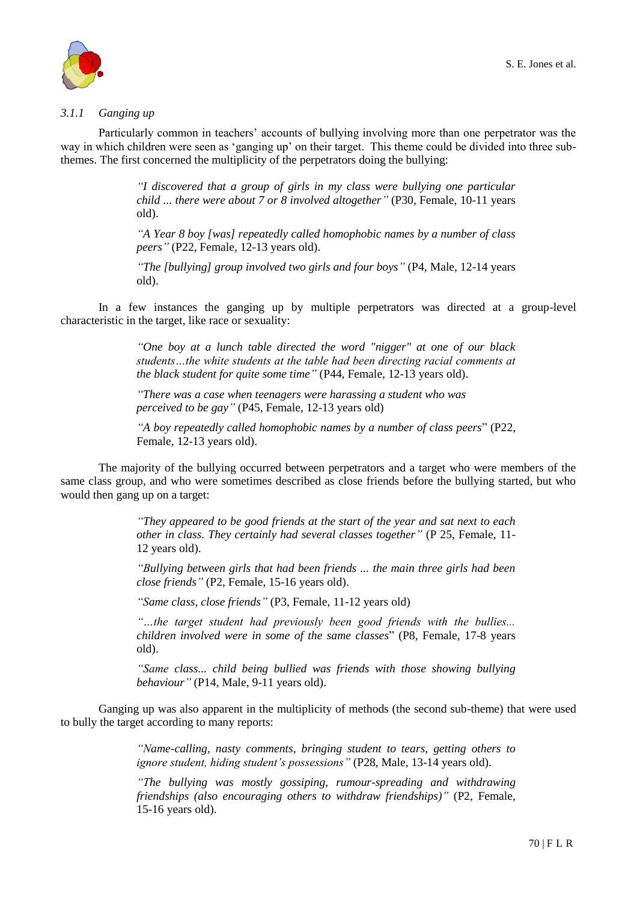

# *3.1.1 Ganging up*

Particularly common in teachers" accounts of bullying involving more than one perpetrator was the way in which children were seen as "ganging up" on their target. This theme could be divided into three subthemes. The first concerned the multiplicity of the perpetrators doing the bullying:

> *"I discovered that a group of girls in my class were bullying one particular child ... there were about 7 or 8 involved altogether"* (P30, Female, 10-11 years old).

> *"A Year 8 boy [was] repeatedly called homophobic names by a number of class peers"* (P22, Female, 12-13 years old).

> *"The [bullying] group involved two girls and four boys"* (P4, Male, 12-14 years old).

In a few instances the ganging up by multiple perpetrators was directed at a group-level characteristic in the target, like race or sexuality:

> *"One boy at a lunch table directed the word "nigger" at one of our black students…the white students at the table had been directing racial comments at the black student for quite some time"* (P44, Female, 12-13 years old).

*"There was a case when teenagers were harassing a student who was perceived to be gay"* (P45, Female, 12-13 years old)

*"A boy repeatedly called homophobic names by a number of class peers*" (P22, Female, 12-13 years old).

The majority of the bullying occurred between perpetrators and a target who were members of the same class group, and who were sometimes described as close friends before the bullying started, but who would then gang up on a target:

> *"They appeared to be good friends at the start of the year and sat next to each other in class. They certainly had several classes together"* (P 25, Female, 11- 12 years old).

> *"Bullying between girls that had been friends ... the main three girls had been close friends"* (P2, Female, 15-16 years old).

*"Same class, close friends"* (P3, Female, 11-12 years old)

*"…the target student had previously been good friends with the bullies... children involved were in some of the same classes*" (P8, Female, 17-8 years old).

*"Same class... child being bullied was friends with those showing bullying behaviour"* (P14, Male, 9-11 years old).

Ganging up was also apparent in the multiplicity of methods (the second sub-theme) that were used to bully the target according to many reports:

> *"Name-calling, nasty comments, bringing student to tears, getting others to ignore student, hiding student's possessions"* (P28, Male, 13-14 years old).

> *"The bullying was mostly gossiping, rumour-spreading and withdrawing friendships (also encouraging others to withdraw friendships)"* (P2, Female, 15-16 years old).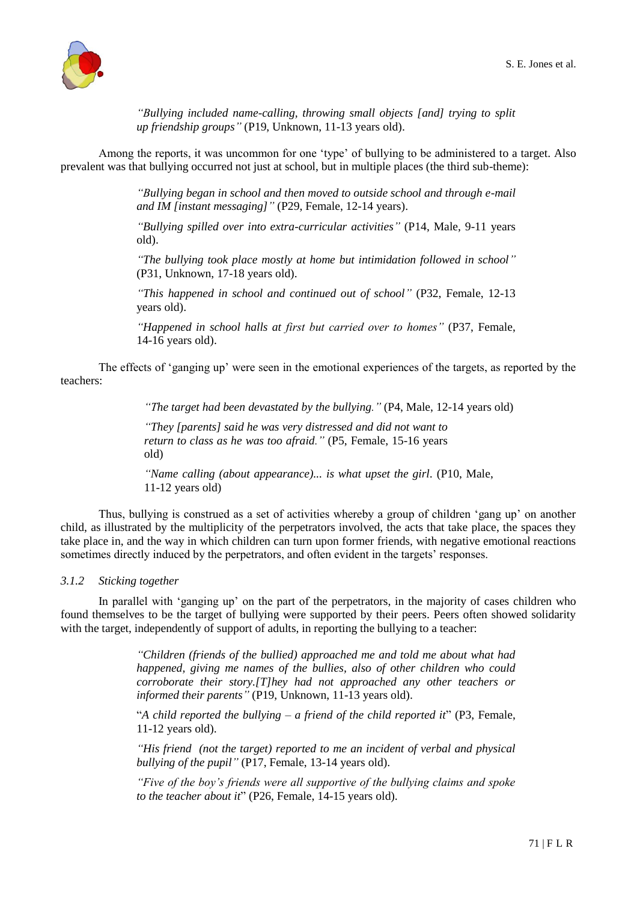

*"Bullying included name-calling, throwing small objects [and] trying to split up friendship groups"* (P19, Unknown, 11-13 years old).

Among the reports, it was uncommon for one "type" of bullying to be administered to a target. Also prevalent was that bullying occurred not just at school, but in multiple places (the third sub-theme):

> *"Bullying began in school and then moved to outside school and through e-mail and IM [instant messaging]"* (P29, Female, 12-14 years).

> *"Bullying spilled over into extra-curricular activities"* (P14, Male, 9-11 years old).

> *"The bullying took place mostly at home but intimidation followed in school"* (P31, Unknown, 17-18 years old).

> *"This happened in school and continued out of school"* (P32, Female, 12-13 years old).

> *"Happened in school halls at first but carried over to homes"* (P37, Female, 14-16 years old).

The effects of "ganging up" were seen in the emotional experiences of the targets, as reported by the teachers:

*"The target had been devastated by the bullying."* (P4, Male, 12-14 years old)

*"They [parents] said he was very distressed and did not want to return to class as he was too afraid."* (P5, Female, 15-16 years old)

*"Name calling (about appearance)... is what upset the girl.* (P10, Male, 11-12 years old)

Thus, bullying is construed as a set of activities whereby a group of children "gang up" on another child, as illustrated by the multiplicity of the perpetrators involved, the acts that take place, the spaces they take place in, and the way in which children can turn upon former friends, with negative emotional reactions sometimes directly induced by the perpetrators, and often evident in the targets' responses.

#### *3.1.2 Sticking together*

In parallel with "ganging up" on the part of the perpetrators, in the majority of cases children who found themselves to be the target of bullying were supported by their peers. Peers often showed solidarity with the target, independently of support of adults, in reporting the bullying to a teacher:

> *"Children (friends of the bullied) approached me and told me about what had happened, giving me names of the bullies, also of other children who could corroborate their story.[T]hey had not approached any other teachers or informed their parents"* (P19, Unknown, 11-13 years old).

> "*A child reported the bullying – a friend of the child reported it*" (P3, Female, 11-12 years old).

> *"His friend (not the target) reported to me an incident of verbal and physical bullying of the pupil"* (P17, Female, 13-14 years old).

> *"Five of the boy's friends were all supportive of the bullying claims and spoke to the teacher about it*" (P26, Female, 14-15 years old).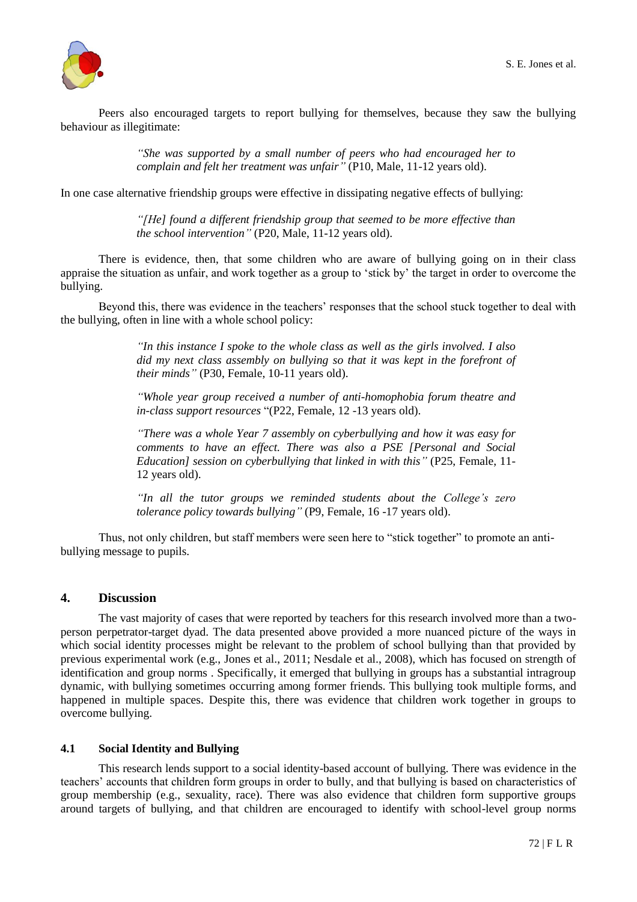

Peers also encouraged targets to report bullying for themselves, because they saw the bullying behaviour as illegitimate:

> *"She was supported by a small number of peers who had encouraged her to complain and felt her treatment was unfair"* (P10, Male, 11-12 years old).

In one case alternative friendship groups were effective in dissipating negative effects of bullying:

*"[He] found a different friendship group that seemed to be more effective than the school intervention"* (P20, Male, 11-12 years old).

There is evidence, then, that some children who are aware of bullying going on in their class appraise the situation as unfair, and work together as a group to "stick by" the target in order to overcome the bullying.

Beyond this, there was evidence in the teachers' responses that the school stuck together to deal with the bullying, often in line with a whole school policy:

> *"In this instance I spoke to the whole class as well as the girls involved. I also did my next class assembly on bullying so that it was kept in the forefront of their minds"* (P30, Female, 10-11 years old).

> *"Whole year group received a number of anti-homophobia forum theatre and in-class support resources* "(P22, Female, 12 -13 years old).

> *"There was a whole Year 7 assembly on cyberbullying and how it was easy for comments to have an effect. There was also a PSE [Personal and Social Education] session on cyberbullying that linked in with this"* (P25, Female, 11- 12 years old).

> *"In all the tutor groups we reminded students about the College's zero tolerance policy towards bullying"* (P9, Female, 16 -17 years old).

Thus, not only children, but staff members were seen here to "stick together" to promote an antibullying message to pupils.

## **4. Discussion**

The vast majority of cases that were reported by teachers for this research involved more than a twoperson perpetrator-target dyad. The data presented above provided a more nuanced picture of the ways in which social identity processes might be relevant to the problem of school bullying than that provided by previous experimental work (e.g., Jones et al., 2011; Nesdale et al., 2008), which has focused on strength of identification and group norms . Specifically, it emerged that bullying in groups has a substantial intragroup dynamic, with bullying sometimes occurring among former friends. This bullying took multiple forms, and happened in multiple spaces. Despite this, there was evidence that children work together in groups to overcome bullying.

## **4.1 Social Identity and Bullying**

This research lends support to a social identity-based account of bullying. There was evidence in the teachers" accounts that children form groups in order to bully, and that bullying is based on characteristics of group membership (e.g., sexuality, race). There was also evidence that children form supportive groups around targets of bullying, and that children are encouraged to identify with school-level group norms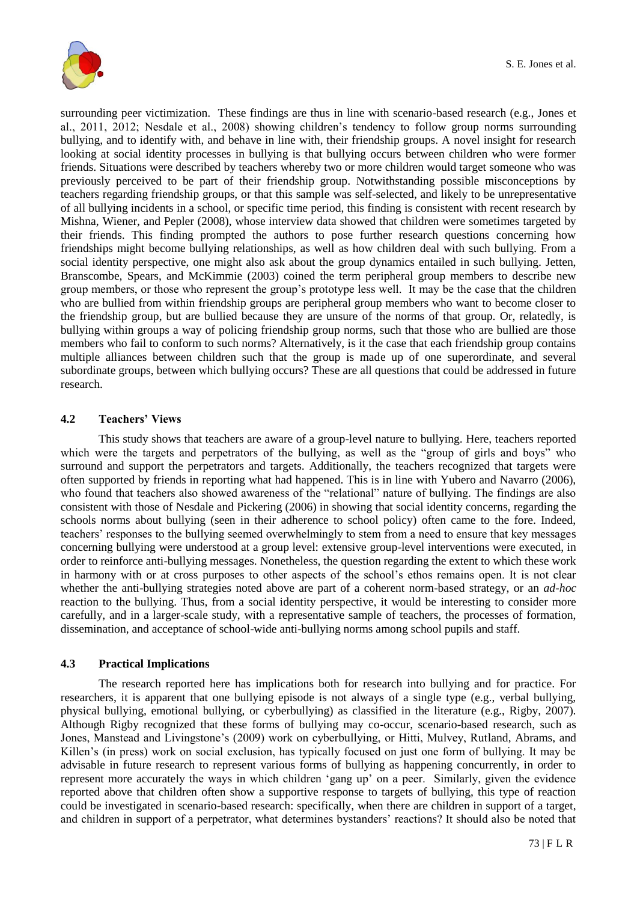

surrounding peer victimization. These findings are thus in line with scenario-based research (e.g., Jones et al., 2011, 2012; Nesdale et al., 2008) showing children"s tendency to follow group norms surrounding bullying, and to identify with, and behave in line with, their friendship groups. A novel insight for research looking at social identity processes in bullying is that bullying occurs between children who were former friends. Situations were described by teachers whereby two or more children would target someone who was previously perceived to be part of their friendship group. Notwithstanding possible misconceptions by teachers regarding friendship groups, or that this sample was self-selected, and likely to be unrepresentative of all bullying incidents in a school, or specific time period, this finding is consistent with recent research by Mishna, Wiener, and Pepler (2008), whose interview data showed that children were sometimes targeted by their friends. This finding prompted the authors to pose further research questions concerning how friendships might become bullying relationships, as well as how children deal with such bullying. From a social identity perspective, one might also ask about the group dynamics entailed in such bullying. Jetten, Branscombe, Spears, and McKimmie (2003) coined the term peripheral group members to describe new group members, or those who represent the group"s prototype less well. It may be the case that the children who are bullied from within friendship groups are peripheral group members who want to become closer to the friendship group, but are bullied because they are unsure of the norms of that group. Or, relatedly, is bullying within groups a way of policing friendship group norms, such that those who are bullied are those members who fail to conform to such norms? Alternatively, is it the case that each friendship group contains multiple alliances between children such that the group is made up of one superordinate, and several subordinate groups, between which bullying occurs? These are all questions that could be addressed in future research.

# **4.2 Teachers' Views**

This study shows that teachers are aware of a group-level nature to bullying. Here, teachers reported which were the targets and perpetrators of the bullying, as well as the "group of girls and boys" who surround and support the perpetrators and targets. Additionally, the teachers recognized that targets were often supported by friends in reporting what had happened. This is in line with Yubero and Navarro (2006), who found that teachers also showed awareness of the "relational" nature of bullying. The findings are also consistent with those of Nesdale and Pickering (2006) in showing that social identity concerns, regarding the schools norms about bullying (seen in their adherence to school policy) often came to the fore. Indeed, teachers" responses to the bullying seemed overwhelmingly to stem from a need to ensure that key messages concerning bullying were understood at a group level: extensive group-level interventions were executed, in order to reinforce anti-bullying messages. Nonetheless, the question regarding the extent to which these work in harmony with or at cross purposes to other aspects of the school"s ethos remains open. It is not clear whether the anti-bullying strategies noted above are part of a coherent norm-based strategy, or an *ad-hoc* reaction to the bullying. Thus, from a social identity perspective, it would be interesting to consider more carefully, and in a larger-scale study, with a representative sample of teachers, the processes of formation, dissemination, and acceptance of school-wide anti-bullying norms among school pupils and staff.

## **4.3 Practical Implications**

The research reported here has implications both for research into bullying and for practice. For researchers, it is apparent that one bullying episode is not always of a single type (e.g., verbal bullying, physical bullying, emotional bullying, or cyberbullying) as classified in the literature (e.g., Rigby, 2007). Although Rigby recognized that these forms of bullying may co-occur, scenario-based research, such as Jones, Manstead and Livingstone"s (2009) work on cyberbullying, or Hitti, Mulvey, Rutland, Abrams, and Killen's (in press) work on social exclusion, has typically focused on just one form of bullying. It may be advisable in future research to represent various forms of bullying as happening concurrently, in order to represent more accurately the ways in which children "gang up" on a peer. Similarly, given the evidence reported above that children often show a supportive response to targets of bullying, this type of reaction could be investigated in scenario-based research: specifically, when there are children in support of a target, and children in support of a perpetrator, what determines bystanders' reactions? It should also be noted that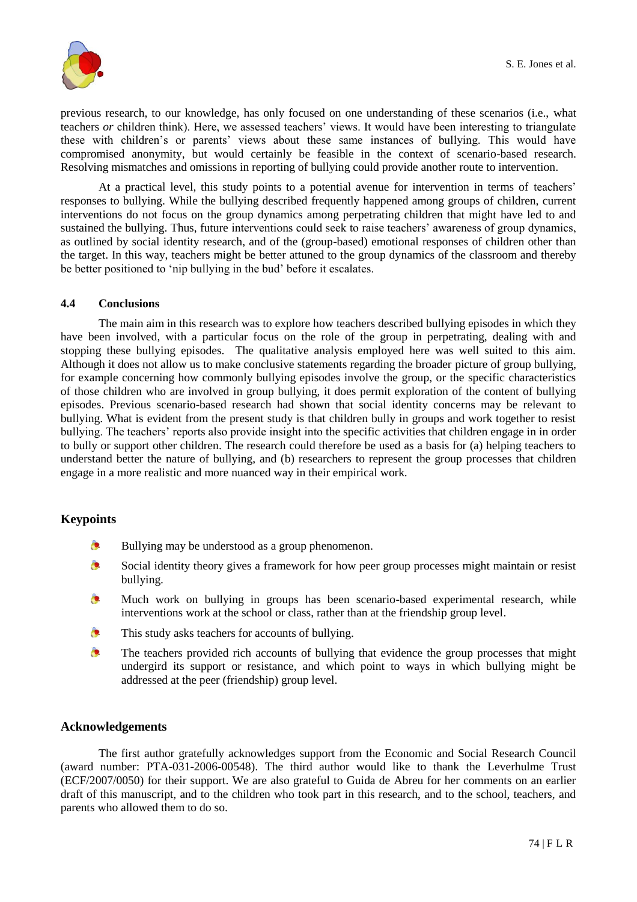

previous research, to our knowledge, has only focused on one understanding of these scenarios (i.e., what teachers *or* children think). Here, we assessed teachers' views. It would have been interesting to triangulate these with children's or parents' views about these same instances of bullying. This would have compromised anonymity, but would certainly be feasible in the context of scenario-based research. Resolving mismatches and omissions in reporting of bullying could provide another route to intervention.

At a practical level, this study points to a potential avenue for intervention in terms of teachers" responses to bullying. While the bullying described frequently happened among groups of children, current interventions do not focus on the group dynamics among perpetrating children that might have led to and sustained the bullying. Thus, future interventions could seek to raise teachers" awareness of group dynamics, as outlined by social identity research, and of the (group-based) emotional responses of children other than the target. In this way, teachers might be better attuned to the group dynamics of the classroom and thereby be better positioned to "nip bullying in the bud" before it escalates.

# **4.4 Conclusions**

The main aim in this research was to explore how teachers described bullying episodes in which they have been involved, with a particular focus on the role of the group in perpetrating, dealing with and stopping these bullying episodes. The qualitative analysis employed here was well suited to this aim. Although it does not allow us to make conclusive statements regarding the broader picture of group bullying, for example concerning how commonly bullying episodes involve the group, or the specific characteristics of those children who are involved in group bullying, it does permit exploration of the content of bullying episodes. Previous scenario-based research had shown that social identity concerns may be relevant to bullying. What is evident from the present study is that children bully in groups and work together to resist bullying. The teachers' reports also provide insight into the specific activities that children engage in in order to bully or support other children. The research could therefore be used as a basis for (a) helping teachers to understand better the nature of bullying, and (b) researchers to represent the group processes that children engage in a more realistic and more nuanced way in their empirical work.

# **Keypoints**

- $\bullet$ Bullying may be understood as a group phenomenon.
- $\bullet$ Social identity theory gives a framework for how peer group processes might maintain or resist bullying.
- Much work on bullying in groups has been scenario-based experimental research, while  $\bullet$ interventions work at the school or class, rather than at the friendship group level.
- $\bullet$ This study asks teachers for accounts of bullying.
- $\bullet$ The teachers provided rich accounts of bullying that evidence the group processes that might undergird its support or resistance, and which point to ways in which bullying might be addressed at the peer (friendship) group level.

## **Acknowledgements**

The first author gratefully acknowledges support from the Economic and Social Research Council (award number: PTA-031-2006-00548). The third author would like to thank the Leverhulme Trust (ECF/2007/0050) for their support. We are also grateful to Guida de Abreu for her comments on an earlier draft of this manuscript, and to the children who took part in this research, and to the school, teachers, and parents who allowed them to do so.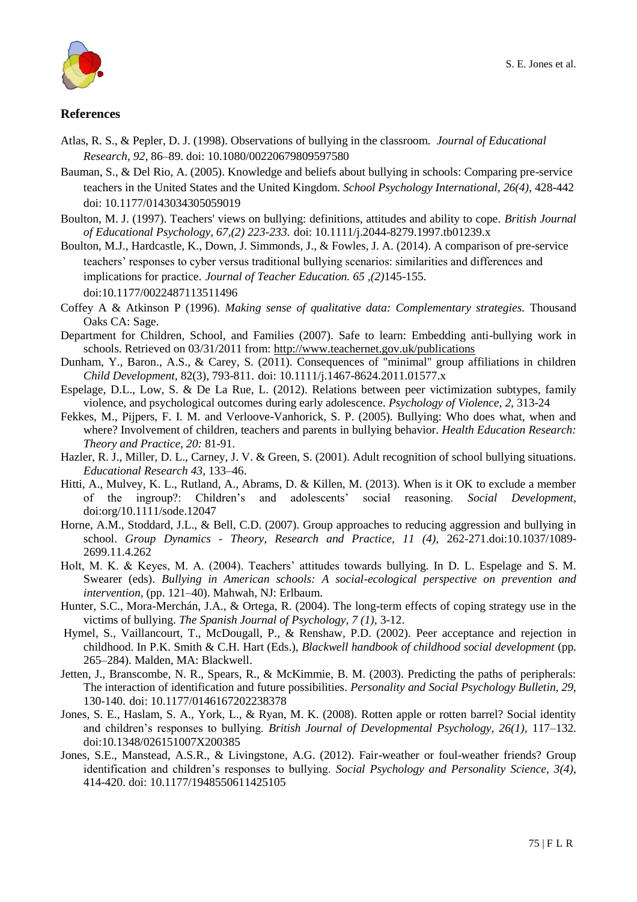

# **References**

- Atlas, R. S., & Pepler, D. J. (1998). Observations of bullying in the classroom. *Journal of Educational Research, 92*, 86–89. doi: 10.1080/00220679809597580
- Bauman, S., & Del Rio, A. (2005). Knowledge and beliefs about bullying in schools: Comparing pre-service teachers in the United States and the United Kingdom. *School Psychology International, 26(4),* 428-442 doi: 10.1177/0143034305059019
- Boulton, M. J. (1997). Teachers' views on bullying: definitions, attitudes and ability to cope. *British Journal of Educational Psychology, 67,(2) 223-233.* doi: 10.1111/j.2044-8279.1997.tb01239.x
- Boulton, M.J., Hardcastle, K., Down, J. Simmonds, J., & Fowles, J. A. (2014). A comparison of pre-service teachers" responses to cyber versus traditional bullying scenarios: similarities and differences and implications for practice. *Journal of Teacher Education. 65 ,(2)*145-155. doi:10.1177/0022487113511496
- Coffey A & Atkinson P (1996). *Making sense of qualitative data: Complementary strategies.* Thousand Oaks CA: Sage.
- Department for Children, School, and Families (2007). Safe to learn: Embedding anti-bullying work in schools. Retrieved on 03/31/2011 from:<http://www.teachernet.gov.uk/publications>
- Dunham, Y., Baron., A.S., & Carey, S. (2011). Consequences of "minimal" group affiliations in children *Child Development,* 82(3), 793-811. doi: 10.1111/j.1467-8624.2011.01577.x
- Espelage, D.L., Low, S. & De La Rue, L. (2012). Relations between peer victimization subtypes, family violence, and psychological outcomes during early adolescence. *Psychology of Violence, 2,* 313-24
- Fekkes, M., Pijpers, F. I. M. and Verloove-Vanhorick, S. P. (2005). Bullying: Who does what, when and where? Involvement of children, teachers and parents in bullying behavior. *Health Education Research: Theory and Practice, 20:* 81-91.
- Hazler, R. J., Miller, D. L., Carney, J. V. & Green, S. (2001). Adult recognition of school bullying situations. *Educational Research 43,* 133–46.
- Hitti, A., Mulvey, K. L., Rutland, A., Abrams, D. & Killen, M. (2013). When is it OK to exclude a member of the ingroup?: Children"s and adolescents" social reasoning. *Social Development*, [doi:org/10.1111/sode.12047](http://dx.doi.org/10.1111/sode.12047)
- Horne, A.M., Stoddard, J.L., & Bell, C.D. (2007). Group approaches to reducing aggression and bullying in school. *Group Dynamics - Theory, Research and Practice, 11 (4),* 262-271.doi:10.1037/1089- 2699.11.4.262
- Holt, M. K. & Keyes, M. A. (2004). Teachers' attitudes towards bullying. In D. L. Espelage and S. M. Swearer (eds). *Bullying in American schools: A social-ecological perspective on prevention and intervention,* (pp. 121–40). Mahwah, NJ: Erlbaum.
- Hunter, S.C., Mora-Merchán, J.A., & Ortega, R. (2004). The long-term effects of coping strategy use in the victims of bullying. *The Spanish Journal of Psychology, 7 (1),* 3-12.
- Hymel, S., Vaillancourt, T., McDougall, P., & Renshaw, P.D. (2002). Peer acceptance and rejection in childhood. In P.K. Smith & C.H. Hart (Eds.), *Blackwell handbook of childhood social development* (pp. 265–284). Malden, MA: Blackwell.
- Jetten, J., Branscombe, N. R., Spears, R., & McKimmie, B. M. (2003). Predicting the paths of peripherals: The interaction of identification and future possibilities. *Personality and Social Psychology Bulletin, 29,* 130-140. doi: 10.1177/0146167202238378
- Jones, S. E., Haslam, S. A., York, L., & Ryan, M. K. (2008). Rotten apple or rotten barrel? Social identity and children"s responses to bullying. *British Journal of Developmental Psychology, 26(1),* 117–132. doi:10.1348/026151007X200385
- Jones, S.E., Manstead, A.S.R., & Livingstone, A.G. (2012). Fair-weather or foul-weather friends? Group identification and children"s responses to bullying. *Social Psychology and Personality Science, 3(4)*, 414-420. doi: 10.1177/1948550611425105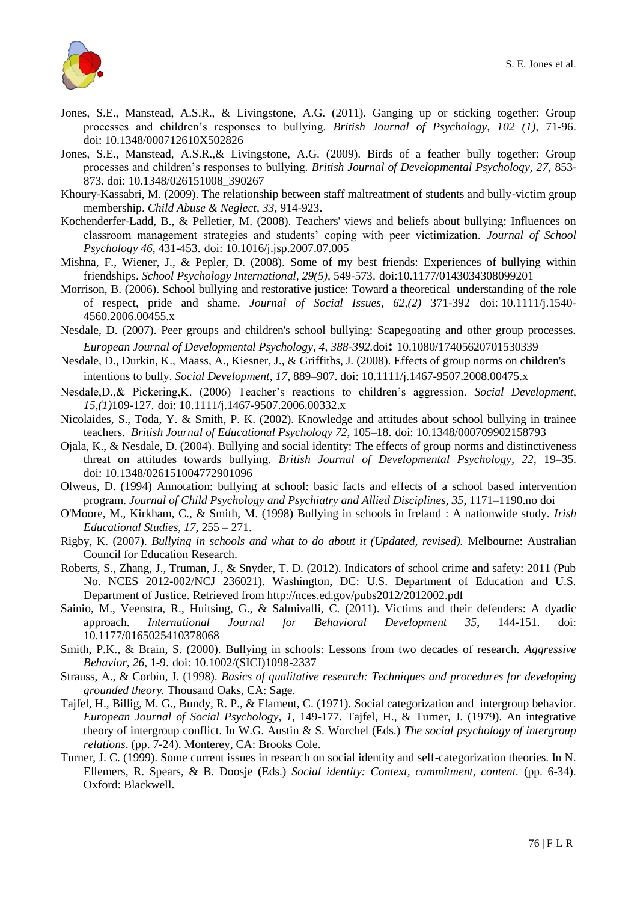

- Jones, S.E., Manstead, A.S.R., & Livingstone, A.G. (2011). Ganging up or sticking together: Group processes and children"s responses to bullying. *British Journal of Psychology, 102 (1),* 71-96. doi: 10.1348/000712610X502826
- Jones, S.E., Manstead, A.S.R.,& Livingstone, A.G. (2009). Birds of a feather bully together: Group processes and children"s responses to bullying. *British Journal of Developmental Psychology, 27,* 853- 873. doi: 10.1348/026151008\_390267
- Khoury-Kassabri, M. (2009). The relationship between staff maltreatment of students and bully-victim group membership. *Child Abuse & Neglect, 33,* 914-923.
- Kochenderfer-Ladd, B., & Pelletier, M. (2008). Teachers' views and beliefs about bullying: Influences on classroom management strategies and students" coping with peer victimization. *Journal of School Psychology 46*, 431-453. doi: 10.1016/j.jsp.2007.07.005
- Mishna, F., Wiener, J., & Pepler, D. (2008). Some of my best friends: Experiences of bullying within friendships. *School Psychology International, 29(5),* 549-573. doi:10.1177/0143034308099201
- Morrison, B. (2006). School bullying and restorative justice: Toward a theoretical understanding of the role of respect, pride and shame. *Journal of Social Issues, 62,(2)* 371-392 doi: 10.1111/j.1540- 4560.2006.00455.x
- Nesdale, D. (2007). Peer groups and children's school bullying: Scapegoating and other group processes. *European Journal of Developmental Psychology, 4, 388-392.*doi**:** 10.1080/17405620701530339
- Nesdale, D., Durkin, K., Maass, A., Kiesner, J., & Griffiths, J. (2008). Effects of group norms on children's intentions to bully. *Social Development, 17*, 889–907. doi: 10.1111/j.1467-9507.2008.00475.x
- Nesdale,D.,& Pickering,K. (2006) Teacher"s reactions to children"s aggression. *Social Development, 15,(1)*109-127. doi: 10.1111/j.1467-9507.2006.00332.x
- Nicolaides, S., Toda, Y. & Smith, P. K. (2002). Knowledge and attitudes about school bullying in trainee teachers. *British Journal of Educational Psychology 72*, 105–18. doi: 10.1348/000709902158793
- Ojala, K., & Nesdale, D. (2004). Bullying and social identity: The effects of group norms and distinctiveness threat on attitudes towards bullying. *British Journal of Developmental Psychology, 22,* 19–35. doi: 10.1348/026151004772901096
- Olweus, D. (1994) Annotation: bullying at school: basic facts and effects of a school based intervention program. *Journal of Child Psychology and Psychiatry and Allied Disciplines, 35*, 1171–1190.no doi
- O'Moore, M., Kirkham, C., & Smith, M. (1998) Bullying in schools in Ireland : A nationwide study. *Irish Educational Studies, 17,* 255 – 271.
- Rigby, K. (2007). *Bullying in schools and what to do about it (Updated, revised).* Melbourne: Australian Council for Education Research.
- Roberts, S., Zhang, J., Truman, J., & Snyder, T. D. (2012). Indicators of school crime and safety: 2011 (Pub No. NCES 2012-002/NCJ 236021). Washington, DC: U.S. Department of Education and U.S. Department of Justice. Retrieved from<http://nces.ed.gov/pubs2012/2012002.pdf>
- Sainio, M., Veenstra, R., Huitsing, G., & Salmivalli, C. (2011). Victims and their defenders: A dyadic approach. *International Journal for Behavioral Development 35*, 144-151. doi: 10.1177/0165025410378068
- Smith, P.K., & Brain, S. (2000). Bullying in schools: Lessons from two decades of research. *Aggressive Behavior, 26,* 1-9. doi: 10.1002/(SICI)1098-2337
- Strauss, A., & Corbin, J. (1998). *Basics of qualitative research: Techniques and procedures for developing grounded theory.* Thousand Oaks, CA: Sage.
- Tajfel, H., Billig, M. G., Bundy, R. P., & Flament, C. (1971). Social categorization and intergroup behavior. *European Journal of Social Psychology, 1,* 149-177. Tajfel, H., & Turner, J. (1979). An integrative theory of intergroup conflict. In W.G. Austin & S. Worchel (Eds.) *The social psychology of intergroup relations*. (pp. 7-24). Monterey, CA: Brooks Cole.
- Turner, J. C. (1999). Some current issues in research on social identity and self-categorization theories. In N. Ellemers, R. Spears, & B. Doosje (Eds.) *Social identity: Context, commitment, content.* (pp. 6-34). Oxford: Blackwell.